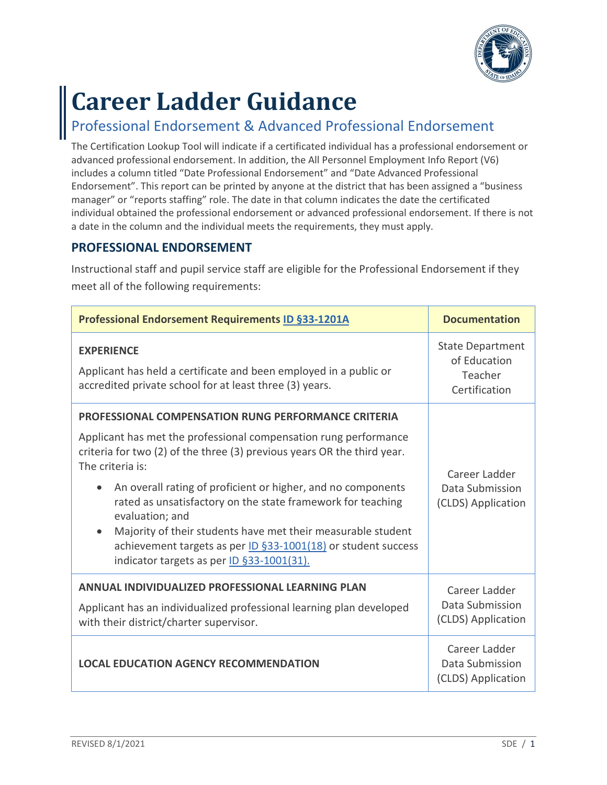

# **Career Ladder Guidance**

## Professional Endorsement & Advanced Professional Endorsement

The Certification Lookup Tool will indicate if a certificated individual has a professional endorsement or advanced professional endorsement. In addition, the All Personnel Employment Info Report (V6) includes a column titled "Date Professional Endorsement" and "Date Advanced Professional Endorsement". This report can be printed by anyone at the district that has been assigned a "business manager" or "reports staffing" role. The date in that column indicates the date the certificated individual obtained the professional endorsement or advanced professional endorsement. If there is not a date in the column and the individual meets the requirements, they must apply.

### **PROFESSIONAL ENDORSEMENT**

Instructional staff and pupil service staff are eligible for the Professional Endorsement if they meet all of the following requirements:

| <b>Professional Endorsement Requirements ID §33-1201A</b>                                                                                                                                                                                                                                                                                                                                                                                                                                                                                                                  | <b>Documentation</b>                                                                                             |
|----------------------------------------------------------------------------------------------------------------------------------------------------------------------------------------------------------------------------------------------------------------------------------------------------------------------------------------------------------------------------------------------------------------------------------------------------------------------------------------------------------------------------------------------------------------------------|------------------------------------------------------------------------------------------------------------------|
| <b>EXPERIENCE</b><br>Applicant has held a certificate and been employed in a public or<br>accredited private school for at least three (3) years.                                                                                                                                                                                                                                                                                                                                                                                                                          | <b>State Department</b><br>of Education<br>Teacher<br>Certification                                              |
| <b>PROFESSIONAL COMPENSATION RUNG PERFORMANCE CRITERIA</b><br>Applicant has met the professional compensation rung performance<br>criteria for two (2) of the three (3) previous years OR the third year.<br>The criteria is:<br>An overall rating of proficient or higher, and no components<br>rated as unsatisfactory on the state framework for teaching<br>evaluation; and<br>Majority of their students have met their measurable student<br>$\bullet$<br>achievement targets as per ID §33-1001(18) or student success<br>indicator targets as per ID §33-1001(31). | Career Ladder<br>Data Submission<br>(CLDS) Application                                                           |
| ANNUAL INDIVIDUALIZED PROFESSIONAL LEARNING PLAN<br>Applicant has an individualized professional learning plan developed<br>with their district/charter supervisor.<br><b>LOCAL EDUCATION AGENCY RECOMMENDATION</b>                                                                                                                                                                                                                                                                                                                                                        | Career Ladder<br>Data Submission<br>(CLDS) Application<br>Career Ladder<br>Data Submission<br>(CLDS) Application |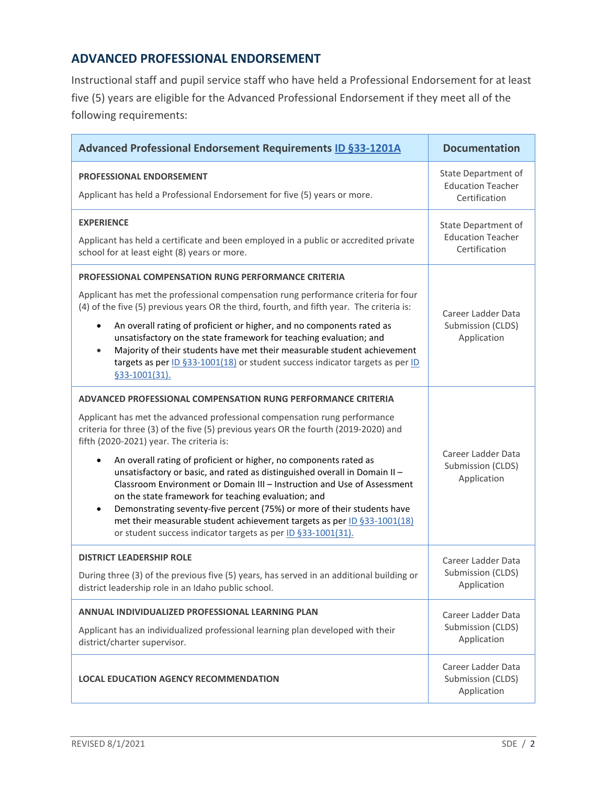#### **ADVANCED PROFESSIONAL ENDORSEMENT**

Instructional staff and pupil service staff who have held a Professional Endorsement for at least five (5) years are eligible for the Advanced Professional Endorsement if they meet all of the following requirements:

| Advanced Professional Endorsement Requirements ID §33-1201A                                                                                                                                                                                                                                                                                                                                                                                                                                                                                                                                                                                                                                                                                                                                         | <b>Documentation</b>                                             |
|-----------------------------------------------------------------------------------------------------------------------------------------------------------------------------------------------------------------------------------------------------------------------------------------------------------------------------------------------------------------------------------------------------------------------------------------------------------------------------------------------------------------------------------------------------------------------------------------------------------------------------------------------------------------------------------------------------------------------------------------------------------------------------------------------------|------------------------------------------------------------------|
| <b>PROFESSIONAL ENDORSEMENT</b><br>Applicant has held a Professional Endorsement for five (5) years or more.                                                                                                                                                                                                                                                                                                                                                                                                                                                                                                                                                                                                                                                                                        | State Department of<br><b>Education Teacher</b><br>Certification |
| <b>EXPERIENCE</b><br>Applicant has held a certificate and been employed in a public or accredited private<br>school for at least eight (8) years or more.                                                                                                                                                                                                                                                                                                                                                                                                                                                                                                                                                                                                                                           | State Department of<br><b>Education Teacher</b><br>Certification |
| <b>PROFESSIONAL COMPENSATION RUNG PERFORMANCE CRITERIA</b><br>Applicant has met the professional compensation rung performance criteria for four<br>(4) of the five (5) previous years OR the third, fourth, and fifth year. The criteria is:<br>An overall rating of proficient or higher, and no components rated as<br>$\bullet$<br>unsatisfactory on the state framework for teaching evaluation; and<br>Majority of their students have met their measurable student achievement<br>$\bullet$<br>targets as per ID §33-1001(18) or student success indicator targets as per ID<br>§33-1001(31).                                                                                                                                                                                                | Career Ladder Data<br>Submission (CLDS)<br>Application           |
| ADVANCED PROFESSIONAL COMPENSATION RUNG PERFORMANCE CRITERIA<br>Applicant has met the advanced professional compensation rung performance<br>criteria for three (3) of the five (5) previous years OR the fourth (2019-2020) and<br>fifth (2020-2021) year. The criteria is:<br>An overall rating of proficient or higher, no components rated as<br>unsatisfactory or basic, and rated as distinguished overall in Domain II-<br>Classroom Environment or Domain III - Instruction and Use of Assessment<br>on the state framework for teaching evaluation; and<br>Demonstrating seventy-five percent (75%) or more of their students have<br>$\bullet$<br>met their measurable student achievement targets as per ID §33-1001(18)<br>or student success indicator targets as per ID §33-1001(31). | Career Ladder Data<br>Submission (CLDS)<br>Application           |
| <b>DISTRICT LEADERSHIP ROLE</b><br>During three (3) of the previous five (5) years, has served in an additional building or<br>district leadership role in an Idaho public school.                                                                                                                                                                                                                                                                                                                                                                                                                                                                                                                                                                                                                  | Career Ladder Data<br>Submission (CLDS)<br>Application           |
| ANNUAL INDIVIDUALIZED PROFESSIONAL LEARNING PLAN<br>Applicant has an individualized professional learning plan developed with their<br>district/charter supervisor.                                                                                                                                                                                                                                                                                                                                                                                                                                                                                                                                                                                                                                 | Career Ladder Data<br>Submission (CLDS)<br>Application           |
| <b>LOCAL EDUCATION AGENCY RECOMMENDATION</b>                                                                                                                                                                                                                                                                                                                                                                                                                                                                                                                                                                                                                                                                                                                                                        | Career Ladder Data<br>Submission (CLDS)<br>Application           |